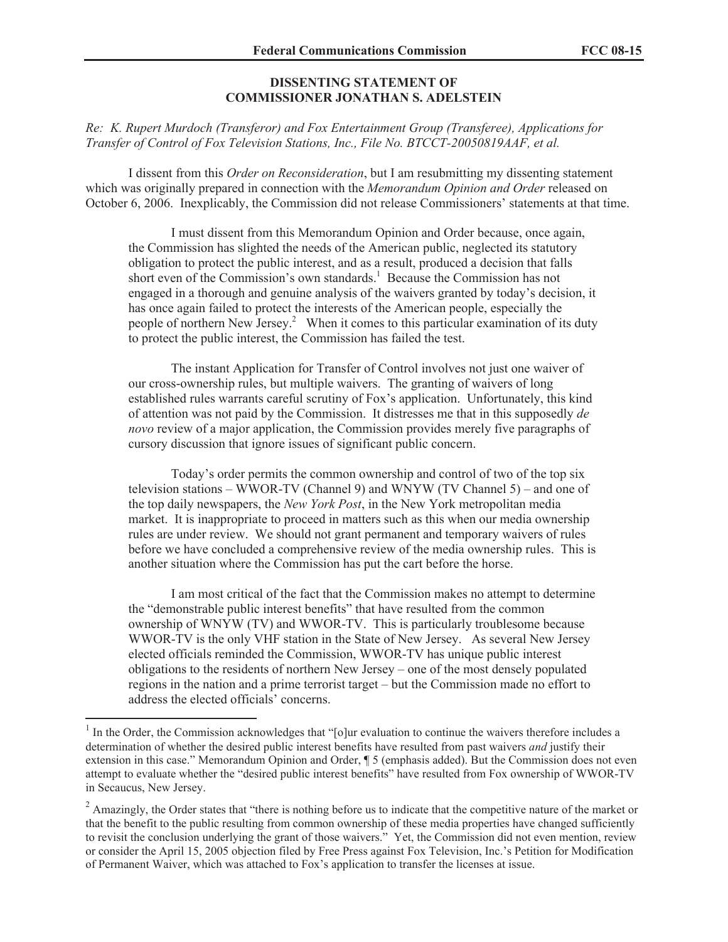## **DISSENTING STATEMENT OF COMMISSIONER JONATHAN S. ADELSTEIN**

*Re: K. Rupert Murdoch (Transferor) and Fox Entertainment Group (Transferee), Applications for Transfer of Control of Fox Television Stations, Inc., File No. BTCCT-20050819AAF, et al.*

I dissent from this *Order on Reconsideration*, but I am resubmitting my dissenting statement which was originally prepared in connection with the *Memorandum Opinion and Order* released on October 6, 2006. Inexplicably, the Commission did not release Commissioners' statements at that time.

I must dissent from this Memorandum Opinion and Order because, once again, the Commission has slighted the needs of the American public, neglected its statutory obligation to protect the public interest, and as a result, produced a decision that falls short even of the Commission's own standards.<sup>1</sup> Because the Commission has not engaged in a thorough and genuine analysis of the waivers granted by today's decision, it has once again failed to protect the interests of the American people, especially the people of northern New Jersey.<sup>2</sup> When it comes to this particular examination of its duty to protect the public interest, the Commission has failed the test.

The instant Application for Transfer of Control involves not just one waiver of our cross-ownership rules, but multiple waivers. The granting of waivers of long established rules warrants careful scrutiny of Fox's application. Unfortunately, this kind of attention was not paid by the Commission. It distresses me that in this supposedly *de novo* review of a major application, the Commission provides merely five paragraphs of cursory discussion that ignore issues of significant public concern.

Today's order permits the common ownership and control of two of the top six television stations – WWOR-TV (Channel 9) and WNYW (TV Channel 5) – and one of the top daily newspapers, the *New York Post*, in the New York metropolitan media market. It is inappropriate to proceed in matters such as this when our media ownership rules are under review. We should not grant permanent and temporary waivers of rules before we have concluded a comprehensive review of the media ownership rules. This is another situation where the Commission has put the cart before the horse.

I am most critical of the fact that the Commission makes no attempt to determine the "demonstrable public interest benefits" that have resulted from the common ownership of WNYW (TV) and WWOR-TV. This is particularly troublesome because WWOR-TV is the only VHF station in the State of New Jersey. As several New Jersey elected officials reminded the Commission, WWOR-TV has unique public interest obligations to the residents of northern New Jersey – one of the most densely populated regions in the nation and a prime terrorist target – but the Commission made no effort to address the elected officials' concerns.

 $1$  In the Order, the Commission acknowledges that "[o]ur evaluation to continue the waivers therefore includes a determination of whether the desired public interest benefits have resulted from past waivers *and* justify their extension in this case." Memorandum Opinion and Order, ¶ 5 (emphasis added). But the Commission does not even attempt to evaluate whether the "desired public interest benefits" have resulted from Fox ownership of WWOR-TV in Secaucus, New Jersey.

 $2 \text{ Amaxingly, the Order states that "there is nothing before us to indicate that the competitive nature of the market or$ that the benefit to the public resulting from common ownership of these media properties have changed sufficiently to revisit the conclusion underlying the grant of those waivers." Yet, the Commission did not even mention, review or consider the April 15, 2005 objection filed by Free Press against Fox Television, Inc.'s Petition for Modification of Permanent Waiver, which was attached to Fox's application to transfer the licenses at issue.